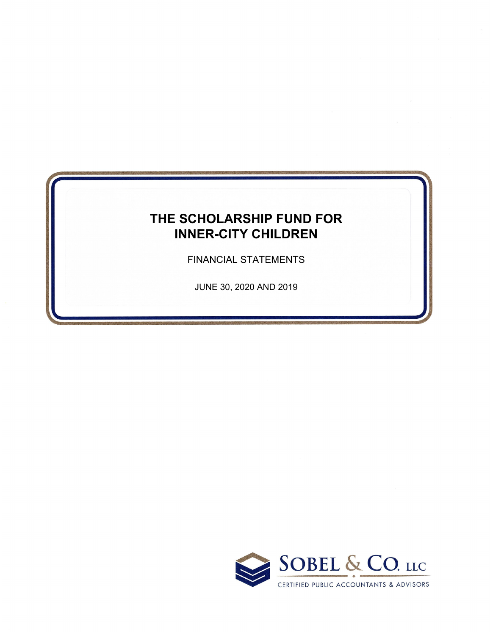# **THE SCHOLARSHIP FUND FOR INNER-CITY CHILDREN**

FINANCIAL STATEMENTS

JUNE 30, 2020 AND 2019

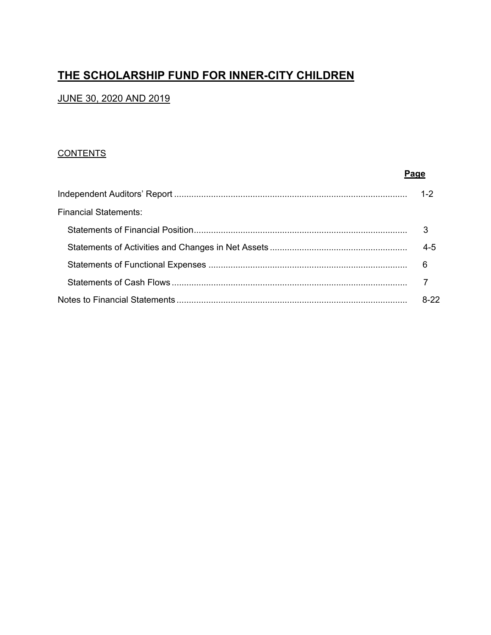## **THE SCHOLARSHIP FUND FOR INNER-CITY CHILDREN**

### JUNE 30, 2020 AND 2019

#### **CONTENTS**

|                              | Page    |
|------------------------------|---------|
|                              | $1 - 2$ |
| <b>Financial Statements:</b> |         |
|                              | 3       |
|                              | $4 - 5$ |
|                              | 6       |
|                              |         |
|                              | $8-22$  |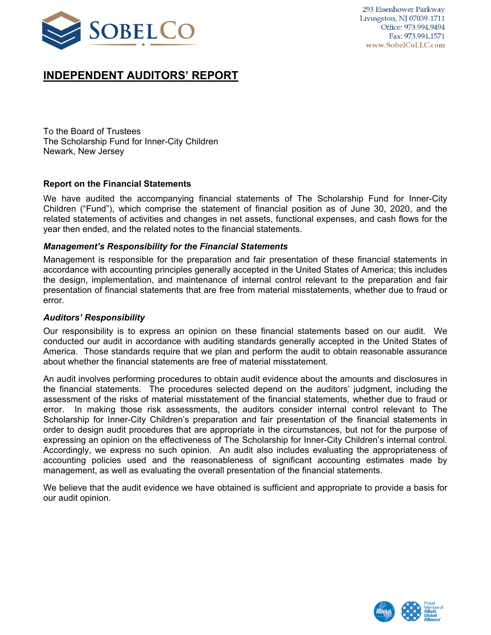

## **INDEPENDENT AUDITORS' REPORT**

To the Board of Trustees The Scholarship Fund for Inner-City Children Newark, New Jersey

#### **Report on the Financial Statements**

We have audited the accompanying financial statements of The Scholarship Fund for Inner-City Children ("Fund"), which comprise the statement of financial position as of June 30, 2020, and the related statements of activities and changes in net assets, functional expenses, and cash flows for the year then ended, and the related notes to the financial statements.

#### *Management's Responsibility for the Financial Statements*

Management is responsible for the preparation and fair presentation of these financial statements in accordance with accounting principles generally accepted in the United States of America; this includes the design, implementation, and maintenance of internal control relevant to the preparation and fair presentation of financial statements that are free from material misstatements, whether due to fraud or error.

#### *Auditors' Responsibility*

Our responsibility is to express an opinion on these financial statements based on our audit. We conducted our audit in accordance with auditing standards generally accepted in the United States of America. Those standards require that we plan and perform the audit to obtain reasonable assurance about whether the financial statements are free of material misstatement.

An audit involves performing procedures to obtain audit evidence about the amounts and disclosures in the financial statements. The procedures selected depend on the auditors' judgment, including the assessment of the risks of material misstatement of the financial statements, whether due to fraud or error. In making those risk assessments, the auditors consider internal control relevant to The Scholarship for Inner-City Children's preparation and fair presentation of the financial statements in order to design audit procedures that are appropriate in the circumstances, but not for the purpose of expressing an opinion on the effectiveness of The Scholarship for Inner-City Children's internal control. Accordingly, we express no such opinion. An audit also includes evaluating the appropriateness of accounting policies used and the reasonableness of significant accounting estimates made by management, as well as evaluating the overall presentation of the financial statements.

We believe that the audit evidence we have obtained is sufficient and appropriate to provide a basis for our audit opinion.

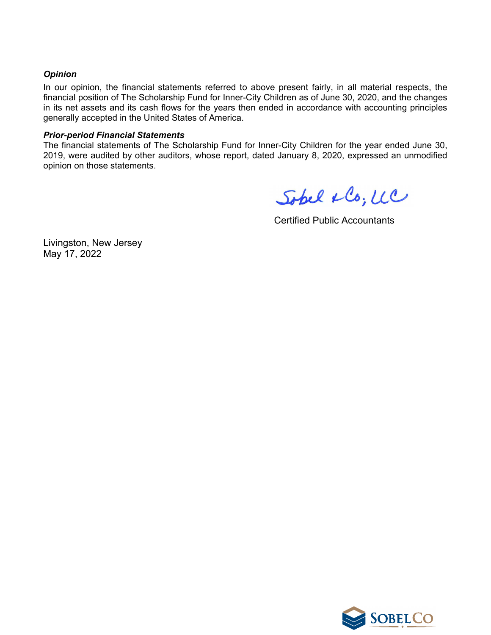#### *Opinion*

In our opinion, the financial statements referred to above present fairly, in all material respects, the financial position of The Scholarship Fund for Inner-City Children as of June 30, 2020, and the changes in its net assets and its cash flows for the years then ended in accordance with accounting principles generally accepted in the United States of America.

#### *Prior-period Financial Statements*

The financial statements of The Scholarship Fund for Inner-City Children for the year ended June 30, 2019, were audited by other auditors, whose report, dated January 8, 2020, expressed an unmodified opinion on those statements.

Sopel & Co; UC

Certified Public Accountants

Livingston, New Jersey May 17, 2022

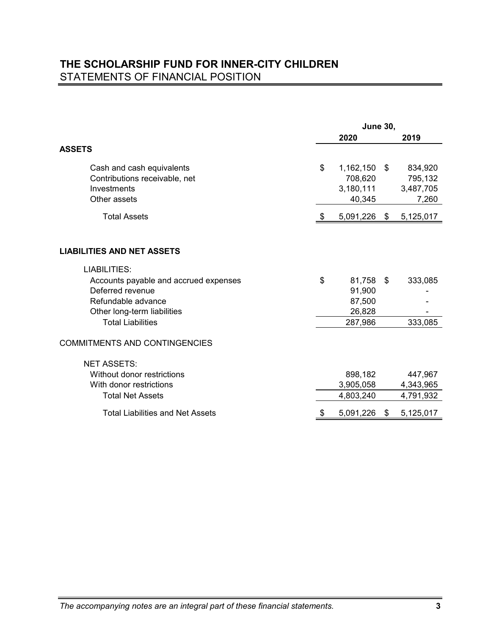## **THE SCHOLARSHIP FUND FOR INNER-CITY CHILDREN** STATEMENTS OF FINANCIAL POSITION

|                                         |      | <b>June 30,</b> |                 |
|-----------------------------------------|------|-----------------|-----------------|
|                                         |      | 2020            | 2019            |
| <b>ASSETS</b>                           |      |                 |                 |
| Cash and cash equivalents               | \$   | 1,162,150       | \$<br>834,920   |
| Contributions receivable, net           |      | 708,620         | 795,132         |
| Investments                             |      | 3,180,111       | 3,487,705       |
| Other assets                            |      | 40,345          | 7,260           |
| <b>Total Assets</b>                     | - \$ | 5,091,226       | \$<br>5,125,017 |
|                                         |      |                 |                 |
| <b>LIABILITIES AND NET ASSETS</b>       |      |                 |                 |
| <b>LIABILITIES:</b>                     |      |                 |                 |
| Accounts payable and accrued expenses   | \$   | 81,758          | \$<br>333,085   |
| Deferred revenue                        |      | 91,900          |                 |
| Refundable advance                      |      | 87,500          |                 |
| Other long-term liabilities             |      | 26,828          |                 |
| <b>Total Liabilities</b>                |      | 287,986         | 333,085         |
| <b>COMMITMENTS AND CONTINGENCIES</b>    |      |                 |                 |
| <b>NET ASSETS:</b>                      |      |                 |                 |
| Without donor restrictions              |      | 898,182         | 447,967         |
| With donor restrictions                 |      | 3,905,058       | 4,343,965       |
| <b>Total Net Assets</b>                 |      | 4,803,240       | 4,791,932       |
| <b>Total Liabilities and Net Assets</b> |      | 5,091,226       | \$<br>5,125,017 |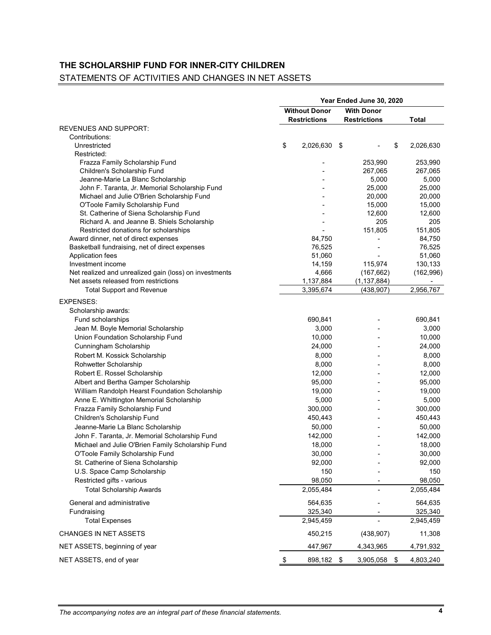## **THE SCHOLARSHIP FUND FOR INNER-CITY CHILDREN**

# STATEMENTS OF ACTIVITIES AND CHANGES IN NET ASSETS

|                                                                                        | Year Ended June 30, 2020 |                     |    |                     |    |               |
|----------------------------------------------------------------------------------------|--------------------------|---------------------|----|---------------------|----|---------------|
|                                                                                        | <b>Without Donor</b>     |                     |    | <b>With Donor</b>   |    |               |
|                                                                                        |                          | <b>Restrictions</b> |    | <b>Restrictions</b> |    | <b>Total</b>  |
| <b>REVENUES AND SUPPORT:</b>                                                           |                          |                     |    |                     |    |               |
| Contributions:                                                                         |                          |                     |    |                     |    |               |
| Unrestricted                                                                           | \$                       | 2,026,630           | \$ |                     | \$ | 2,026,630     |
| Restricted:                                                                            |                          |                     |    |                     |    |               |
| Frazza Family Scholarship Fund                                                         |                          |                     |    | 253,990             |    | 253,990       |
| Children's Scholarship Fund                                                            |                          |                     |    | 267,065             |    | 267,065       |
| Jeanne-Marie La Blanc Scholarship                                                      |                          |                     |    | 5,000               |    | 5,000         |
| John F. Taranta, Jr. Memorial Scholarship Fund                                         |                          |                     |    | 25,000              |    | 25,000        |
| Michael and Julie O'Brien Scholarship Fund                                             |                          |                     |    | 20,000              |    | 20,000        |
| O'Toole Family Scholarship Fund                                                        |                          |                     |    | 15,000              |    | 15,000        |
| St. Catherine of Siena Scholarship Fund<br>Richard A. and Jeanne B. Shiels Scholarship |                          |                     |    | 12,600<br>205       |    | 12,600<br>205 |
| Restricted donations for scholarships                                                  |                          |                     |    | 151,805             |    | 151,805       |
| Award dinner, net of direct expenses                                                   |                          | 84,750              |    |                     |    | 84,750        |
| Basketball fundraising, net of direct expenses                                         |                          | 76,525              |    |                     |    | 76,525        |
| <b>Application fees</b>                                                                |                          | 51,060              |    |                     |    | 51,060        |
| Investment income                                                                      |                          | 14,159              |    | 115,974             |    | 130,133       |
| Net realized and unrealized gain (loss) on investments                                 |                          | 4,666               |    | (167, 662)          |    | (162, 996)    |
| Net assets released from restrictions                                                  |                          | 1,137,884           |    | (1, 137, 884)       |    |               |
| <b>Total Support and Revenue</b>                                                       |                          | 3,395,674           |    | (438, 907)          |    | 2,956,767     |
| <b>EXPENSES:</b>                                                                       |                          |                     |    |                     |    |               |
| Scholarship awards:                                                                    |                          |                     |    |                     |    |               |
| Fund scholarships                                                                      |                          | 690,841             |    |                     |    | 690,841       |
| Jean M. Boyle Memorial Scholarship                                                     |                          | 3,000               |    |                     |    | 3,000         |
| <b>Union Foundation Scholarship Fund</b>                                               |                          | 10,000              |    |                     |    | 10,000        |
| <b>Cunningham Scholarship</b>                                                          |                          | 24,000              |    |                     |    | 24,000        |
| Robert M. Kossick Scholarship                                                          |                          | 8,000               |    |                     |    | 8,000         |
| <b>Rohwetter Scholarship</b>                                                           |                          | 8,000               |    |                     |    | 8,000         |
| Robert E. Rossel Scholarship                                                           |                          | 12,000              |    |                     |    | 12,000        |
| Albert and Bertha Gamper Scholarship                                                   |                          | 95,000              |    |                     |    | 95,000        |
| William Randolph Hearst Foundation Scholarship                                         |                          | 19,000              |    |                     |    | 19,000        |
| Anne E. Whittington Memorial Scholarship                                               |                          | 5,000               |    |                     |    | 5,000         |
| Frazza Family Scholarship Fund                                                         |                          | 300,000             |    |                     |    | 300,000       |
| Children's Scholarship Fund                                                            |                          | 450,443             |    |                     |    | 450,443       |
| Jeanne-Marie La Blanc Scholarship                                                      |                          | 50,000              |    |                     |    | 50,000        |
| John F. Taranta, Jr. Memorial Scholarship Fund                                         |                          | 142,000             |    |                     |    | 142,000       |
| Michael and Julie O'Brien Family Scholarship Fund                                      |                          | 18,000              |    |                     |    | 18,000        |
| O'Toole Family Scholarship Fund                                                        |                          | 30,000              |    |                     |    | 30,000        |
| St. Catherine of Siena Scholarship                                                     |                          | 92,000              |    |                     |    | 92,000        |
| U.S. Space Camp Scholarship                                                            |                          | 150                 |    |                     |    | 150           |
| Restricted gifts - various                                                             |                          | 98,050              |    |                     |    | 98,050        |
| <b>Total Scholarship Awards</b>                                                        |                          | 2,055,484           |    |                     |    | 2,055,484     |
|                                                                                        |                          |                     |    |                     |    |               |
| General and administrative                                                             |                          | 564,635             |    |                     |    | 564,635       |
| Fundraising                                                                            |                          | 325,340             |    |                     |    | 325,340       |
| <b>Total Expenses</b>                                                                  |                          | 2,945,459           |    |                     |    | 2,945,459     |
| <b>CHANGES IN NET ASSETS</b>                                                           |                          | 450,215             |    | (438, 907)          |    | 11,308        |
| NET ASSETS, beginning of year                                                          |                          | 447,967             |    | 4,343,965           |    | 4,791,932     |
| NET ASSETS, end of year                                                                | \$                       | 898,182             | \$ | 3,905,058           | \$ | 4,803,240     |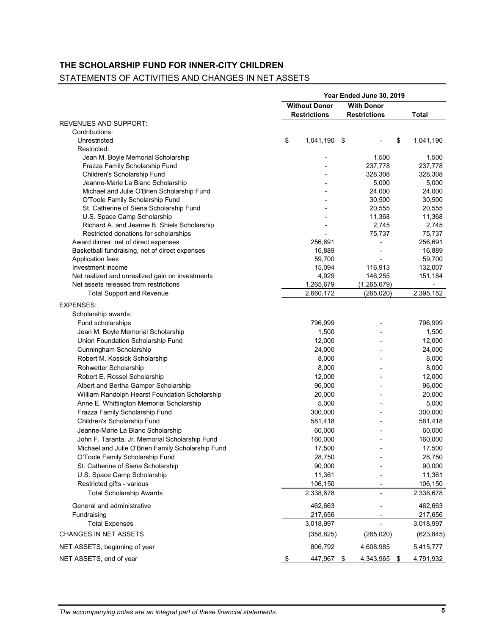# **THE SCHOLARSHIP FUND FOR INNER-CITY CHILDREN**

## STATEMENTS OF ACTIVITIES AND CHANGES IN NET ASSETS

|                                                   | Year Ended June 30, 2019 |                     |                 |  |  |  |
|---------------------------------------------------|--------------------------|---------------------|-----------------|--|--|--|
|                                                   | <b>Without Donor</b>     | <b>With Donor</b>   |                 |  |  |  |
| <b>REVENUES AND SUPPORT:</b>                      | <b>Restrictions</b>      | <b>Restrictions</b> | <b>Total</b>    |  |  |  |
| Contributions:                                    |                          |                     |                 |  |  |  |
| Unrestricted                                      | \$<br>1,041,190          | \$                  | 1,041,190<br>\$ |  |  |  |
| Restricted:                                       |                          |                     |                 |  |  |  |
| Jean M. Boyle Memorial Scholarship                |                          | 1,500               | 1,500           |  |  |  |
| Frazza Family Scholarship Fund                    |                          | 237,778             | 237,778         |  |  |  |
| Children's Scholarship Fund                       |                          | 328,308             | 328,308         |  |  |  |
| Jeanne-Marie La Blanc Scholarship                 |                          | 5,000               | 5,000           |  |  |  |
| Michael and Julie O'Brien Scholarship Fund        |                          | 24,000              | 24,000          |  |  |  |
| O'Toole Family Scholarship Fund                   |                          | 30,500              | 30,500          |  |  |  |
| St. Catherine of Siena Scholarship Fund           |                          | 20,555              | 20,555          |  |  |  |
| U.S. Space Camp Scholarship                       |                          | 11,368              | 11,368          |  |  |  |
| Richard A. and Jeanne B. Shiels Scholarship       |                          | 2,745               | 2,745           |  |  |  |
| Restricted donations for scholarships             |                          | 75,737              | 75,737          |  |  |  |
| Award dinner, net of direct expenses              | 256,691                  |                     | 256,691         |  |  |  |
| Basketball fundraising, net of direct expenses    | 16,889                   |                     | 16,889          |  |  |  |
| <b>Application fees</b>                           | 59,700                   |                     | 59,700          |  |  |  |
| Investment income                                 | 15,094                   | 116,913             | 132,007         |  |  |  |
| Net realized and unrealized gain on investments   | 4,929                    | 146,255             | 151,184         |  |  |  |
| Net assets released from restrictions             | 1,265,679                | (1, 265, 679)       |                 |  |  |  |
| <b>Total Support and Revenue</b>                  | 2,660,172                | (265, 020)          | 2,395,152       |  |  |  |
| <b>EXPENSES:</b>                                  |                          |                     |                 |  |  |  |
| Scholarship awards:                               |                          |                     |                 |  |  |  |
| Fund scholarships                                 | 796,999                  |                     | 796,999         |  |  |  |
| Jean M. Boyle Memorial Scholarship                | 1,500                    |                     | 1,500           |  |  |  |
| Union Foundation Scholarship Fund                 | 12,000                   |                     | 12,000          |  |  |  |
| <b>Cunningham Scholarship</b>                     | 24,000                   |                     | 24,000          |  |  |  |
| Robert M. Kossick Scholarship                     | 8,000                    |                     | 8,000           |  |  |  |
| Rohwetter Scholarship                             | 8,000                    |                     | 8,000           |  |  |  |
| Robert E. Rossel Scholarship                      | 12,000                   |                     | 12,000          |  |  |  |
| Albert and Bertha Gamper Scholarship              | 96,000                   |                     | 96,000          |  |  |  |
| William Randolph Hearst Foundation Scholarship    | 20,000                   |                     | 20,000          |  |  |  |
| Anne E. Whittington Memorial Scholarship          | 5,000                    |                     | 5,000           |  |  |  |
| Frazza Family Scholarship Fund                    | 300,000                  |                     | 300,000         |  |  |  |
| <b>Children's Scholarship Fund</b>                | 581,418                  |                     | 581,418         |  |  |  |
| Jeanne-Marie La Blanc Scholarship                 | 60,000                   |                     | 60,000          |  |  |  |
| John F. Taranta, Jr. Memorial Scholarship Fund    | 160,000                  |                     | 160,000         |  |  |  |
| Michael and Julie O'Brien Family Scholarship Fund | 17,500                   |                     | 17,500          |  |  |  |
| O'Toole Family Scholarship Fund                   | 28,750                   |                     | 28,750          |  |  |  |
| St. Catherine of Siena Scholarship                | 90,000                   |                     | 90,000          |  |  |  |
| U.S. Space Camp Scholarship                       | 11,361                   |                     | 11,361          |  |  |  |
| Restricted gifts - various                        | 106,150                  |                     | 106,150         |  |  |  |
| <b>Total Scholarship Awards</b>                   | 2,338,678                |                     | 2,338,678       |  |  |  |
| General and administrative                        | 462,663                  |                     | 462,663         |  |  |  |
| Fundraising                                       | 217,656                  |                     | 217,656         |  |  |  |
| <b>Total Expenses</b>                             | 3,018,997                |                     | 3,018,997       |  |  |  |
| <b>CHANGES IN NET ASSETS</b>                      | (358, 825)               | (265, 020)          | (623, 845)      |  |  |  |
| NET ASSETS, beginning of year                     | 806,792                  | 4,608,985           | 5,415,777       |  |  |  |
| NET ASSETS, end of year                           | \$<br>447,967            | 4,343,965<br>\$     | 4,791,932<br>\$ |  |  |  |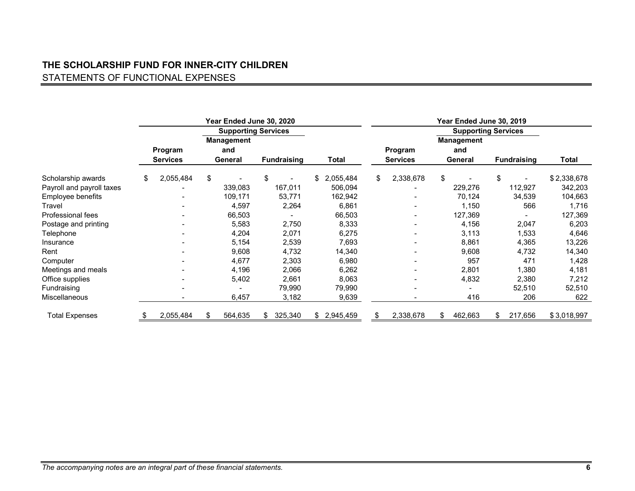# **THE SCHOLARSHIP FUND FOR INNER-CITY CHILDREN** STATEMENTS OF FUNCTIONAL EXPENSES

|                           |                            |                | Year Ended June 30, 2020            |                    |         |                 |    |                            |    |                                            |    |                    |             |
|---------------------------|----------------------------|----------------|-------------------------------------|--------------------|---------|-----------------|----|----------------------------|----|--------------------------------------------|----|--------------------|-------------|
|                           |                            |                | <b>Supporting Services</b>          |                    |         |                 |    | <b>Supporting Services</b> |    |                                            |    |                    |             |
|                           | Program<br><b>Services</b> |                | <b>Management</b><br>and<br>General | <b>Fundraising</b> |         | Total           |    | Program<br><b>Services</b> |    | <b>Management</b><br>and<br><b>General</b> |    | <b>Fundraising</b> | Total       |
| Scholarship awards        | \$<br>2,055,484            | $\mathfrak{F}$ |                                     | \$                 |         | \$<br>2,055,484 | \$ | 2,338,678                  | \$ |                                            | \$ |                    | \$2,338,678 |
| Payroll and payroll taxes |                            |                | 339,083                             |                    | 167,011 | 506,094         |    |                            |    | 229,276                                    |    | 112,927            | 342,203     |
| Employee benefits         |                            |                | 109,171                             |                    | 53,771  | 162,942         |    |                            |    | 70,124                                     |    | 34,539             | 104,663     |
| <b>Travel</b>             |                            |                | 4,597                               |                    | 2,264   | 6,861           |    |                            |    | 1,150                                      |    | 566                | 1,716       |
| Professional fees         |                            |                | 66,503                              |                    |         | 66,503          |    |                            |    | 127,369                                    |    |                    | 127,369     |
| Postage and printing      |                            |                | 5,583                               |                    | 2,750   | 8,333           |    |                            |    | 4,156                                      |    | 2,047              | 6,203       |
| Telephone                 |                            |                | 4,204                               |                    | 2,071   | 6,275           |    |                            |    | 3,113                                      |    | 1,533              | 4,646       |
| Insurance                 |                            |                | 5,154                               |                    | 2,539   | 7,693           |    |                            |    | 8,861                                      |    | 4,365              | 13,226      |
| Rent                      |                            |                | 9,608                               |                    | 4,732   | 14,340          |    |                            |    | 9,608                                      |    | 4,732              | 14,340      |
| Computer                  |                            |                | 4,677                               |                    | 2,303   | 6,980           |    |                            |    | 957                                        |    | 471                | 1,428       |
| Meetings and meals        |                            |                | 4,196                               |                    | 2,066   | 6,262           |    |                            |    | 2,801                                      |    | 1,380              | 4,181       |
| Office supplies           |                            |                | 5,402                               |                    | 2,661   | 8,063           |    |                            |    | 4,832                                      |    | 2,380              | 7,212       |
| Fundraising               | $\overline{\phantom{0}}$   |                |                                     |                    | 79,990  | 79,990          |    | $\overline{\phantom{a}}$   |    |                                            |    | 52,510             | 52,510      |
| Miscellaneous             |                            |                | 6,457                               |                    | 3,182   | 9,639           |    |                            |    | 416                                        |    | 206                | 622         |
| <b>Total Expenses</b>     | 2,055,484                  | S              | 564,635                             | \$.                | 325,340 | \$2,945,459     | S  | 2,338,678                  | \$ | 462,663                                    | S  | 217,656            | \$3,018,997 |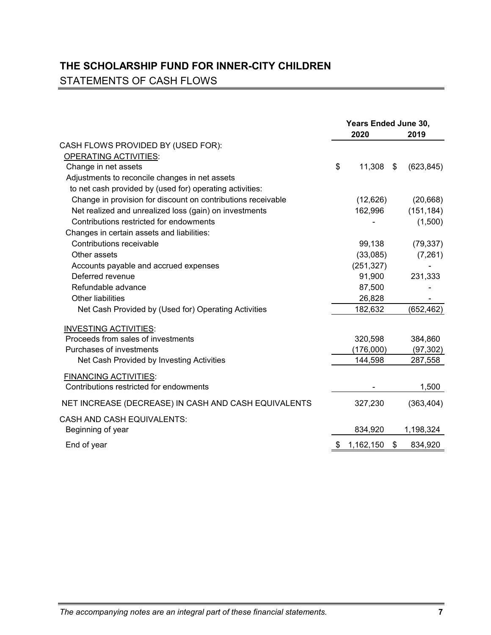## **THE SCHOLARSHIP FUND FOR INNER-CITY CHILDREN** STATEMENTS OF CASH FLOWS

|                                                              | Years Ended June 30, |            |    |            |
|--------------------------------------------------------------|----------------------|------------|----|------------|
|                                                              |                      | 2020       |    | 2019       |
| CASH FLOWS PROVIDED BY (USED FOR):                           |                      |            |    |            |
| <b>OPERATING ACTIVITIES:</b>                                 |                      |            |    |            |
| Change in net assets                                         | \$                   | 11,308     | \$ | (623, 845) |
| Adjustments to reconcile changes in net assets               |                      |            |    |            |
| to net cash provided by (used for) operating activities:     |                      |            |    |            |
| Change in provision for discount on contributions receivable |                      | (12,626)   |    | (20, 668)  |
| Net realized and unrealized loss (gain) on investments       |                      | 162,996    |    | (151, 184) |
| Contributions restricted for endowments                      |                      |            |    | (1,500)    |
| Changes in certain assets and liabilities:                   |                      |            |    |            |
| Contributions receivable                                     |                      | 99,138     |    | (79, 337)  |
| Other assets                                                 |                      | (33,085)   |    | (7,261)    |
| Accounts payable and accrued expenses                        |                      | (251, 327) |    |            |
| Deferred revenue                                             |                      | 91,900     |    | 231,333    |
| Refundable advance                                           |                      | 87,500     |    |            |
| <b>Other liabilities</b>                                     |                      | 26,828     |    |            |
| Net Cash Provided by (Used for) Operating Activities         |                      | 182,632    |    | (652, 462) |
| <b>INVESTING ACTIVITIES:</b>                                 |                      |            |    |            |
| Proceeds from sales of investments                           |                      | 320,598    |    | 384,860    |
| Purchases of investments                                     |                      | (176,000)  |    | (97, 302)  |
| Net Cash Provided by Investing Activities                    |                      | 144,598    |    | 287,558    |
| <b>FINANCING ACTIVITIES:</b>                                 |                      |            |    |            |
| Contributions restricted for endowments                      |                      |            |    | 1,500      |
| NET INCREASE (DECREASE) IN CASH AND CASH EQUIVALENTS         |                      | 327,230    |    | (363, 404) |
| <b>CASH AND CASH EQUIVALENTS:</b>                            |                      |            |    |            |
| Beginning of year                                            |                      | 834,920    |    | 1,198,324  |
| End of year                                                  |                      | 1,162,150  | \$ | 834,920    |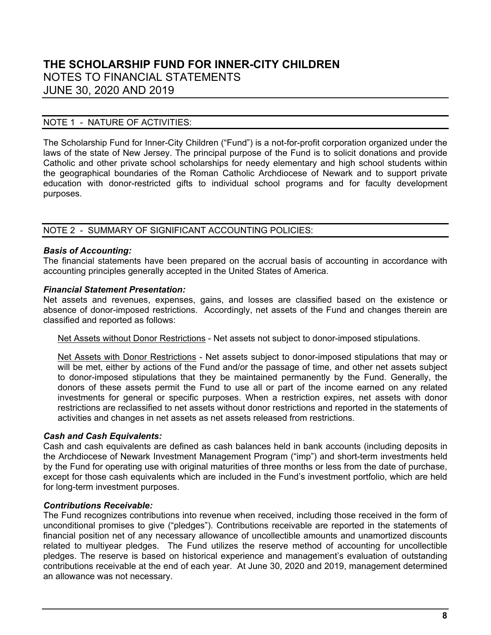#### NOTE 1 - NATURE OF ACTIVITIES:

The Scholarship Fund for Inner-City Children ("Fund") is a not-for-profit corporation organized under the laws of the state of New Jersey. The principal purpose of the Fund is to solicit donations and provide Catholic and other private school scholarships for needy elementary and high school students within the geographical boundaries of the Roman Catholic Archdiocese of Newark and to support private education with donor-restricted gifts to individual school programs and for faculty development purposes.

#### NOTE 2 - SUMMARY OF SIGNIFICANT ACCOUNTING POLICIES:

#### *Basis of Accounting:*

The financial statements have been prepared on the accrual basis of accounting in accordance with accounting principles generally accepted in the United States of America.

#### *Financial Statement Presentation:*

Net assets and revenues, expenses, gains, and losses are classified based on the existence or absence of donor-imposed restrictions. Accordingly, net assets of the Fund and changes therein are classified and reported as follows:

Net Assets without Donor Restrictions - Net assets not subject to donor-imposed stipulations.

Net Assets with Donor Restrictions - Net assets subject to donor-imposed stipulations that may or will be met, either by actions of the Fund and/or the passage of time, and other net assets subject to donor-imposed stipulations that they be maintained permanently by the Fund. Generally, the donors of these assets permit the Fund to use all or part of the income earned on any related investments for general or specific purposes. When a restriction expires, net assets with donor restrictions are reclassified to net assets without donor restrictions and reported in the statements of activities and changes in net assets as net assets released from restrictions.

#### *Cash and Cash Equivalents:*

Cash and cash equivalents are defined as cash balances held in bank accounts (including deposits in the Archdiocese of Newark Investment Management Program ("imp") and short-term investments held by the Fund for operating use with original maturities of three months or less from the date of purchase, except for those cash equivalents which are included in the Fund's investment portfolio, which are held for long-term investment purposes.

#### *Contributions Receivable:*

The Fund recognizes contributions into revenue when received, including those received in the form of unconditional promises to give ("pledges"). Contributions receivable are reported in the statements of financial position net of any necessary allowance of uncollectible amounts and unamortized discounts related to multiyear pledges. The Fund utilizes the reserve method of accounting for uncollectible pledges. The reserve is based on historical experience and management's evaluation of outstanding contributions receivable at the end of each year. At June 30, 2020 and 2019, management determined an allowance was not necessary.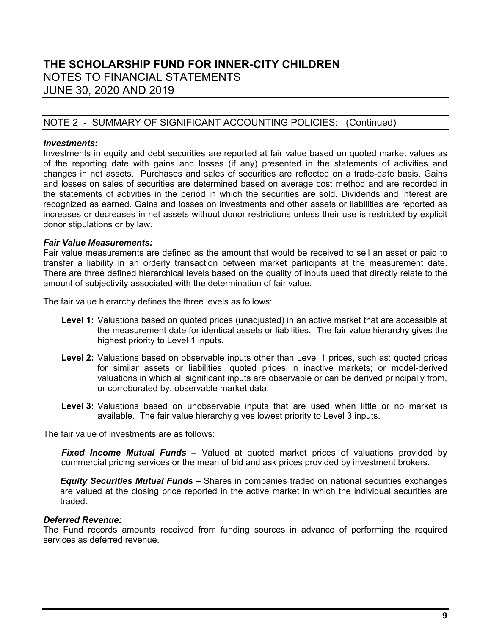#### NOTE 2 - SUMMARY OF SIGNIFICANT ACCOUNTING POLICIES: (Continued)

#### *Investments:*

Investments in equity and debt securities are reported at fair value based on quoted market values as of the reporting date with gains and losses (if any) presented in the statements of activities and changes in net assets. Purchases and sales of securities are reflected on a trade-date basis. Gains and losses on sales of securities are determined based on average cost method and are recorded in the statements of activities in the period in which the securities are sold. Dividends and interest are recognized as earned. Gains and losses on investments and other assets or liabilities are reported as increases or decreases in net assets without donor restrictions unless their use is restricted by explicit donor stipulations or by law.

#### *Fair Value Measurements:*

Fair value measurements are defined as the amount that would be received to sell an asset or paid to transfer a liability in an orderly transaction between market participants at the measurement date. There are three defined hierarchical levels based on the quality of inputs used that directly relate to the amount of subjectivity associated with the determination of fair value.

The fair value hierarchy defines the three levels as follows:

- **Level 1:** Valuations based on quoted prices (unadjusted) in an active market that are accessible at the measurement date for identical assets or liabilities. The fair value hierarchy gives the highest priority to Level 1 inputs.
- **Level 2:** Valuations based on observable inputs other than Level 1 prices, such as: quoted prices for similar assets or liabilities; quoted prices in inactive markets; or model-derived valuations in which all significant inputs are observable or can be derived principally from, or corroborated by, observable market data.
- **Level 3:** Valuations based on unobservable inputs that are used when little or no market is available. The fair value hierarchy gives lowest priority to Level 3 inputs.

The fair value of investments are as follows:

*Fixed Income Mutual Funds* **–** Valued at quoted market prices of valuations provided by commercial pricing services or the mean of bid and ask prices provided by investment brokers.

*Equity Securities Mutual Funds* **–** Shares in companies traded on national securities exchanges are valued at the closing price reported in the active market in which the individual securities are traded.

#### *Deferred Revenue:*

The Fund records amounts received from funding sources in advance of performing the required services as deferred revenue.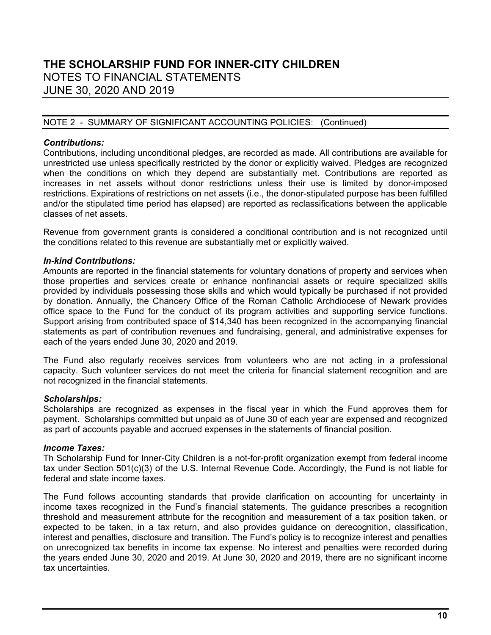#### NOTE 2 - SUMMARY OF SIGNIFICANT ACCOUNTING POLICIES: (Continued)

#### *Contributions:*

Contributions, including unconditional pledges, are recorded as made. All contributions are available for unrestricted use unless specifically restricted by the donor or explicitly waived. Pledges are recognized when the conditions on which they depend are substantially met. Contributions are reported as increases in net assets without donor restrictions unless their use is limited by donor-imposed restrictions. Expirations of restrictions on net assets (i.e., the donor-stipulated purpose has been fulfilled and/or the stipulated time period has elapsed) are reported as reclassifications between the applicable classes of net assets.

Revenue from government grants is considered a conditional contribution and is not recognized until the conditions related to this revenue are substantially met or explicitly waived.

#### *In-kind Contributions:*

Amounts are reported in the financial statements for voluntary donations of property and services when those properties and services create or enhance nonfinancial assets or require specialized skills provided by individuals possessing those skills and which would typically be purchased if not provided by donation. Annually, the Chancery Office of the Roman Catholic Archdiocese of Newark provides office space to the Fund for the conduct of its program activities and supporting service functions. Support arising from contributed space of \$14,340 has been recognized in the accompanying financial statements as part of contribution revenues and fundraising, general, and administrative expenses for each of the years ended June 30, 2020 and 2019.

The Fund also regularly receives services from volunteers who are not acting in a professional capacity. Such volunteer services do not meet the criteria for financial statement recognition and are not recognized in the financial statements.

#### *Scholarships:*

Scholarships are recognized as expenses in the fiscal year in which the Fund approves them for payment. Scholarships committed but unpaid as of June 30 of each year are expensed and recognized as part of accounts payable and accrued expenses in the statements of financial position.

#### *Income Taxes:*

Th Scholarship Fund for Inner-City Children is a not-for-profit organization exempt from federal income tax under Section 501(c)(3) of the U.S. Internal Revenue Code. Accordingly, the Fund is not liable for federal and state income taxes

The Fund follows accounting standards that provide clarification on accounting for uncertainty in income taxes recognized in the Fund's financial statements. The guidance prescribes a recognition threshold and measurement attribute for the recognition and measurement of a tax position taken, or expected to be taken, in a tax return, and also provides guidance on derecognition, classification, interest and penalties, disclosure and transition. The Fund's policy is to recognize interest and penalties on unrecognized tax benefits in income tax expense. No interest and penalties were recorded during the years ended June 30, 2020 and 2019. At June 30, 2020 and 2019, there are no significant income tax uncertainties.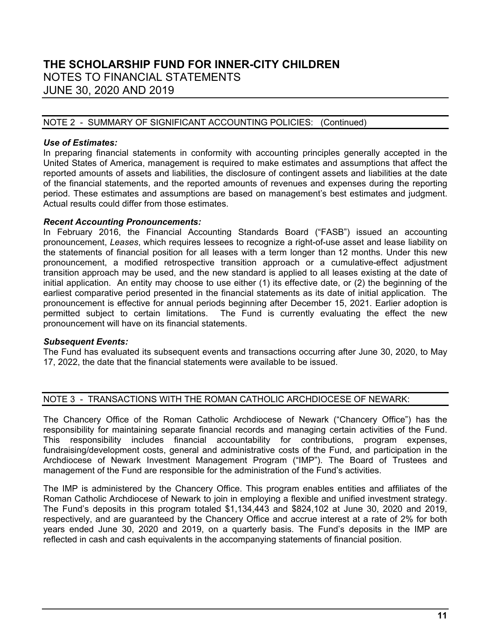#### NOTE 2 - SUMMARY OF SIGNIFICANT ACCOUNTING POLICIES: (Continued)

#### *Use of Estimates:*

In preparing financial statements in conformity with accounting principles generally accepted in the United States of America, management is required to make estimates and assumptions that affect the reported amounts of assets and liabilities, the disclosure of contingent assets and liabilities at the date of the financial statements, and the reported amounts of revenues and expenses during the reporting period. These estimates and assumptions are based on management's best estimates and judgment. Actual results could differ from those estimates.

#### *Recent Accounting Pronouncements:*

In February 2016, the Financial Accounting Standards Board ("FASB") issued an accounting pronouncement, *Leases*, which requires lessees to recognize a right-of-use asset and lease liability on the statements of financial position for all leases with a term longer than 12 months. Under this new pronouncement, a modified retrospective transition approach or a cumulative-effect adjustment transition approach may be used, and the new standard is applied to all leases existing at the date of initial application. An entity may choose to use either (1) its effective date, or (2) the beginning of the earliest comparative period presented in the financial statements as its date of initial application. The pronouncement is effective for annual periods beginning after December 15, 2021. Earlier adoption is permitted subject to certain limitations. The Fund is currently evaluating the effect the new pronouncement will have on its financial statements.

#### *Subsequent Events:*

The Fund has evaluated its subsequent events and transactions occurring after June 30, 2020, to May 17, 2022, the date that the financial statements were available to be issued.

#### NOTE 3 - TRANSACTIONS WITH THE ROMAN CATHOLIC ARCHDIOCESE OF NEWARK:

The Chancery Office of the Roman Catholic Archdiocese of Newark ("Chancery Office") has the responsibility for maintaining separate financial records and managing certain activities of the Fund. This responsibility includes financial accountability for contributions, program expenses, fundraising/development costs, general and administrative costs of the Fund, and participation in the Archdiocese of Newark Investment Management Program ("IMP"). The Board of Trustees and management of the Fund are responsible for the administration of the Fund's activities.

The IMP is administered by the Chancery Office. This program enables entities and affiliates of the Roman Catholic Archdiocese of Newark to join in employing a flexible and unified investment strategy. The Fund's deposits in this program totaled \$1,134,443 and \$824,102 at June 30, 2020 and 2019, respectively, and are guaranteed by the Chancery Office and accrue interest at a rate of 2% for both years ended June 30, 2020 and 2019, on a quarterly basis. The Fund's deposits in the IMP are reflected in cash and cash equivalents in the accompanying statements of financial position.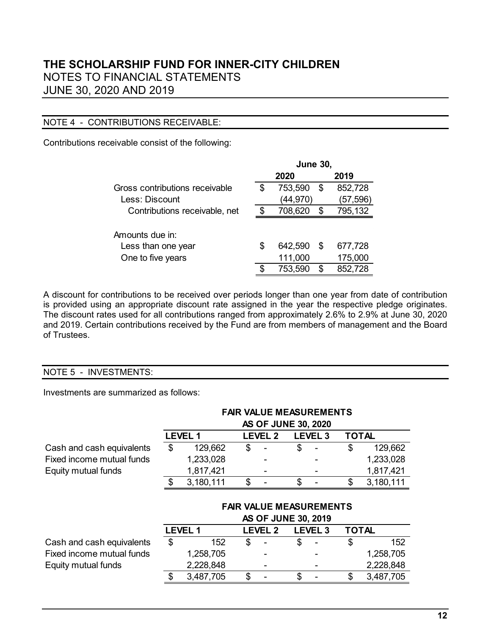#### NOTE 4 - CONTRIBUTIONS RECEIVABLE:

Contributions receivable consist of the following:

|                                |    | <b>June 30,</b> |    |           |
|--------------------------------|----|-----------------|----|-----------|
|                                |    | 2020            |    | 2019      |
| Gross contributions receivable | S  | 753,590         | \$ | 852,728   |
| Less: Discount                 |    | (44, 970)       |    | (57, 596) |
| Contributions receivable, net  | S  | 708,620         | S  | 795,132   |
|                                |    |                 |    |           |
| Amounts due in:                |    |                 |    |           |
| Less than one year             | \$ | 642,590         | S  | 677,728   |
| One to five years              |    | 111,000         |    | 175,000   |
|                                |    | 753,590         | S  | 852,728   |

A discount for contributions to be received over periods longer than one year from date of contribution is provided using an appropriate discount rate assigned in the year the respective pledge originates. The discount rates used for all contributions ranged from approximately 2.6% to 2.9% at June 30, 2020 and 2019. Certain contributions received by the Fund are from members of management and the Board of Trustees.

### NOTE 5 - INVESTMENTS:

Investments are summarized as follows:

|                           | <b>FAIR VALUE MEASUREMENTS</b><br><b>AS OF JUNE 30, 2020</b> |                |    |                            |    |                                |              |           |  |
|---------------------------|--------------------------------------------------------------|----------------|----|----------------------------|----|--------------------------------|--------------|-----------|--|
|                           |                                                              | <b>LEVEL 1</b> |    | <b>LEVEL 2</b>             |    | <b>LEVEL 3</b>                 | <b>TOTAL</b> |           |  |
| Cash and cash equivalents | \$                                                           | 129,662        | \$ |                            | \$ |                                | \$           | 129,662   |  |
| Fixed income mutual funds |                                                              | 1,233,028      |    |                            |    |                                |              | 1,233,028 |  |
| Equity mutual funds       |                                                              | 1,817,421      |    |                            |    |                                |              | 1,817,421 |  |
|                           | \$.                                                          | 3,180,111      | \$ |                            | \$ |                                | \$           | 3,180,111 |  |
|                           |                                                              |                |    | <b>AS OF JUNE 30, 2019</b> |    | <b>FAIR VALUE MEASUREMENTS</b> |              |           |  |
|                           |                                                              | <b>LEVEL 1</b> |    | <b>LEVEL 2</b>             |    | <b>LEVEL 3</b>                 | <b>TOTAL</b> |           |  |
| Cash and cash equivalents | \$                                                           | 152            | \$ |                            | \$ |                                | \$           | 152       |  |
| Fixed income mutual funds |                                                              | 1,258,705      |    |                            |    |                                |              | 1,258,705 |  |
| Equity mutual funds       |                                                              | 2,228,848      |    |                            |    |                                |              | 2,228,848 |  |
|                           | \$                                                           | 3,487,705      | \$ |                            | \$ |                                | \$           | 3,487,705 |  |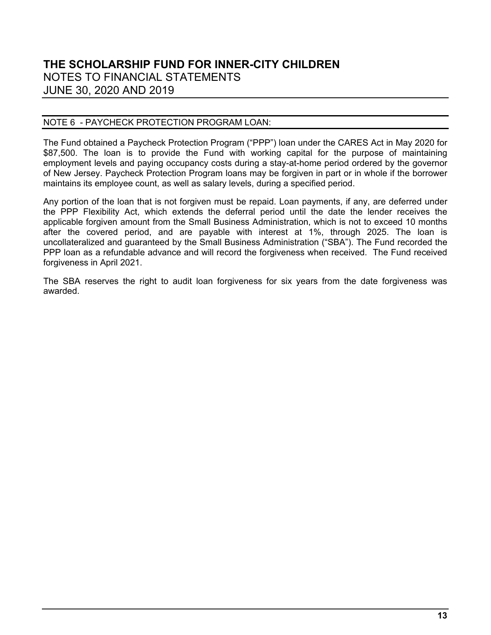#### NOTE 6 - PAYCHECK PROTECTION PROGRAM LOAN:

The Fund obtained a Paycheck Protection Program ("PPP") loan under the CARES Act in May 2020 for \$87,500. The loan is to provide the Fund with working capital for the purpose of maintaining employment levels and paying occupancy costs during a stay-at-home period ordered by the governor of New Jersey. Paycheck Protection Program loans may be forgiven in part or in whole if the borrower maintains its employee count, as well as salary levels, during a specified period.

Any portion of the loan that is not forgiven must be repaid. Loan payments, if any, are deferred under the PPP Flexibility Act, which extends the deferral period until the date the lender receives the applicable forgiven amount from the Small Business Administration, which is not to exceed 10 months after the covered period, and are payable with interest at 1%, through 2025. The loan is uncollateralized and guaranteed by the Small Business Administration ("SBA"). The Fund recorded the PPP loan as a refundable advance and will record the forgiveness when received. The Fund received forgiveness in April 2021.

The SBA reserves the right to audit loan forgiveness for six years from the date forgiveness was awarded.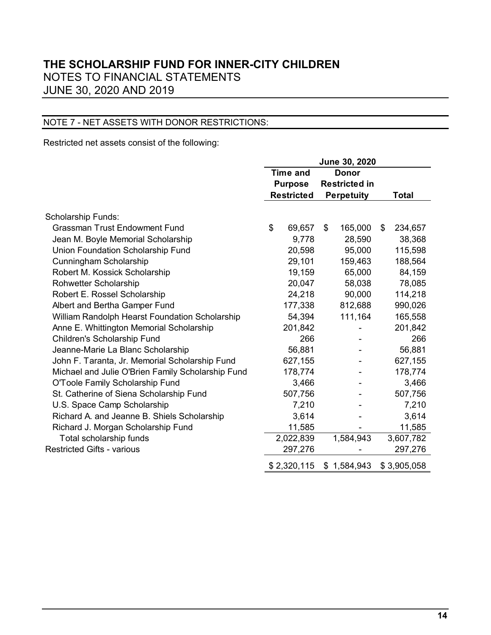### NOTE 7 - NET ASSETS WITH DONOR RESTRICTIONS:

Restricted net assets consist of the following:

|                                                   | June 30, 2020 |                   |                   |                      |    |              |
|---------------------------------------------------|---------------|-------------------|-------------------|----------------------|----|--------------|
|                                                   |               | <b>Time and</b>   |                   | <b>Donor</b>         |    |              |
|                                                   |               | <b>Purpose</b>    |                   | <b>Restricted in</b> |    |              |
|                                                   |               | <b>Restricted</b> | <b>Perpetuity</b> |                      |    | <b>Total</b> |
|                                                   |               |                   |                   |                      |    |              |
| Scholarship Funds:                                |               |                   |                   |                      |    |              |
| <b>Grassman Trust Endowment Fund</b>              | \$            | 69,657            | \$                | 165,000              | \$ | 234,657      |
| Jean M. Boyle Memorial Scholarship                |               | 9,778             |                   | 28,590               |    | 38,368       |
| Union Foundation Scholarship Fund                 |               | 20,598            |                   | 95,000               |    | 115,598      |
| Cunningham Scholarship                            |               | 29,101            |                   | 159,463              |    | 188,564      |
| Robert M. Kossick Scholarship                     |               | 19,159            |                   | 65,000               |    | 84,159       |
| Rohwetter Scholarship                             |               | 20,047            |                   | 58,038               |    | 78,085       |
| Robert E. Rossel Scholarship                      |               | 24,218            |                   | 90,000               |    | 114,218      |
| Albert and Bertha Gamper Fund                     |               | 177,338           |                   | 812,688              |    | 990,026      |
| William Randolph Hearst Foundation Scholarship    |               | 54,394            |                   | 111,164              |    | 165,558      |
| Anne E. Whittington Memorial Scholarship          |               | 201,842           |                   |                      |    | 201,842      |
| Children's Scholarship Fund                       |               | 266               |                   |                      |    | 266          |
| Jeanne-Marie La Blanc Scholarship                 |               | 56,881            |                   |                      |    | 56,881       |
| John F. Taranta, Jr. Memorial Scholarship Fund    |               | 627,155           |                   |                      |    | 627,155      |
| Michael and Julie O'Brien Family Scholarship Fund |               | 178,774           |                   |                      |    | 178,774      |
| O'Toole Family Scholarship Fund                   |               | 3,466             |                   |                      |    | 3,466        |
| St. Catherine of Siena Scholarship Fund           |               | 507,756           |                   |                      |    | 507,756      |
| U.S. Space Camp Scholarship                       |               | 7,210             |                   |                      |    | 7,210        |
| Richard A. and Jeanne B. Shiels Scholarship       |               | 3,614             |                   |                      |    | 3,614        |
| Richard J. Morgan Scholarship Fund                |               | 11,585            |                   |                      |    | 11,585       |
| Total scholarship funds                           |               | 2,022,839         |                   | 1,584,943            |    | 3,607,782    |
| <b>Restricted Gifts - various</b>                 |               | 297,276           |                   |                      |    | 297,276      |
|                                                   |               | \$2,320,115       |                   | \$1,584,943          |    | \$3,905,058  |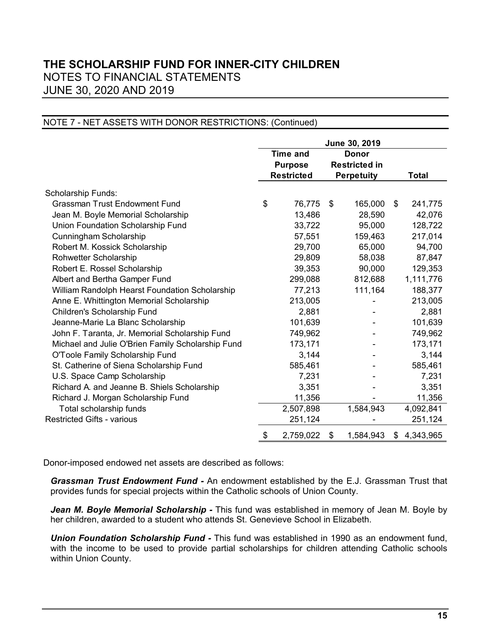#### NOTE 7 - NET ASSETS WITH DONOR RESTRICTIONS: (Continued)

|                                                   | June 30, 2019 |                   |              |                      |    |              |
|---------------------------------------------------|---------------|-------------------|--------------|----------------------|----|--------------|
|                                                   |               | <b>Time and</b>   | <b>Donor</b> |                      |    |              |
|                                                   |               | <b>Purpose</b>    |              | <b>Restricted in</b> |    |              |
|                                                   |               | <b>Restricted</b> |              | <b>Perpetuity</b>    |    | <b>Total</b> |
| <b>Scholarship Funds:</b>                         |               |                   |              |                      |    |              |
| <b>Grassman Trust Endowment Fund</b>              | \$            | 76,775            | \$           | 165,000              | \$ | 241,775      |
| Jean M. Boyle Memorial Scholarship                |               | 13,486            |              | 28,590               |    | 42,076       |
| Union Foundation Scholarship Fund                 |               | 33,722            |              | 95,000               |    | 128,722      |
| Cunningham Scholarship                            |               | 57,551            |              | 159,463              |    | 217,014      |
| Robert M. Kossick Scholarship                     |               | 29,700            |              | 65,000               |    | 94,700       |
| Rohwetter Scholarship                             |               | 29,809            |              | 58,038               |    | 87,847       |
| Robert E. Rossel Scholarship                      |               | 39,353            |              | 90,000               |    | 129,353      |
| Albert and Bertha Gamper Fund                     |               | 299,088           |              | 812,688              |    | 1,111,776    |
| William Randolph Hearst Foundation Scholarship    |               | 77,213            |              | 111,164              |    | 188,377      |
| Anne E. Whittington Memorial Scholarship          |               | 213,005           |              |                      |    | 213,005      |
| Children's Scholarship Fund                       |               | 2,881             |              |                      |    | 2,881        |
| Jeanne-Marie La Blanc Scholarship                 |               | 101,639           |              |                      |    | 101,639      |
| John F. Taranta, Jr. Memorial Scholarship Fund    |               | 749,962           |              |                      |    | 749,962      |
| Michael and Julie O'Brien Family Scholarship Fund |               | 173,171           |              |                      |    | 173,171      |
| O'Toole Family Scholarship Fund                   |               | 3,144             |              |                      |    | 3,144        |
| St. Catherine of Siena Scholarship Fund           |               | 585,461           |              |                      |    | 585,461      |
| U.S. Space Camp Scholarship                       |               | 7,231             |              |                      |    | 7,231        |
| Richard A. and Jeanne B. Shiels Scholarship       |               | 3,351             |              |                      |    | 3,351        |
| Richard J. Morgan Scholarship Fund                |               | 11,356            |              |                      |    | 11,356       |
| Total scholarship funds                           |               | 2,507,898         |              | 1,584,943            |    | 4,092,841    |
| <b>Restricted Gifts - various</b>                 |               | 251,124           |              |                      |    | 251,124      |
|                                                   | \$            | 2,759,022         | \$           | 1,584,943            | \$ | 4,343,965    |

Donor-imposed endowed net assets are described as follows:

*Grassman Trust Endowment Fund -* An endowment established by the E.J. Grassman Trust that provides funds for special projects within the Catholic schools of Union County.

Jean M. Boyle Memorial Scholarship - This fund was established in memory of Jean M. Boyle by her children, awarded to a student who attends St. Genevieve School in Elizabeth.

*Union Foundation Scholarship Fund -* This fund was established in 1990 as an endowment fund, with the income to be used to provide partial scholarships for children attending Catholic schools within Union County.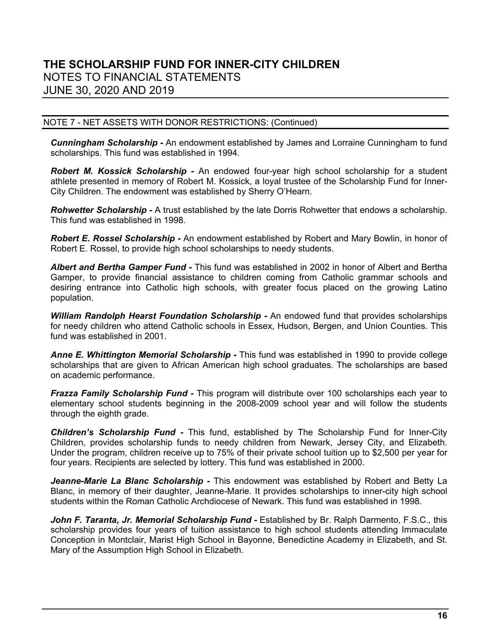#### NOTE 7 - NET ASSETS WITH DONOR RESTRICTIONS: (Continued)

*Cunningham Scholarship -* An endowment established by James and Lorraine Cunningham to fund scholarships. This fund was established in 1994.

*Robert M. Kossick Scholarship -* An endowed four-year high school scholarship for a student athlete presented in memory of Robert M. Kossick, a loyal trustee of the Scholarship Fund for Inner-City Children. The endowment was established by Sherry O'Hearn.

*Rohwetter Scholarship -* A trust established by the late Dorris Rohwetter that endows a scholarship. This fund was established in 1998.

*Robert E. Rossel Scholarship -* An endowment established by Robert and Mary Bowlin, in honor of Robert E. Rossel, to provide high school scholarships to needy students.

*Albert and Bertha Gamper Fund -* This fund was established in 2002 in honor of Albert and Bertha Gamper, to provide financial assistance to children coming from Catholic grammar schools and desiring entrance into Catholic high schools, with greater focus placed on the growing Latino population.

**William Randolph Hearst Foundation Scholarship -** An endowed fund that provides scholarships for needy children who attend Catholic schools in Essex, Hudson, Bergen, and Union Counties. This fund was established in 2001.

*Anne E. Whittington Memorial Scholarship -* This fund was established in 1990 to provide college scholarships that are given to African American high school graduates. The scholarships are based on academic performance.

*Frazza Family Scholarship Fund -* This program will distribute over 100 scholarships each year to elementary school students beginning in the 2008-2009 school year and will follow the students through the eighth grade.

*Children's Scholarship Fund -* This fund, established by The Scholarship Fund for Inner-City Children, provides scholarship funds to needy children from Newark, Jersey City, and Elizabeth. Under the program, children receive up to 75% of their private school tuition up to \$2,500 per year for four years. Recipients are selected by lottery. This fund was established in 2000.

*Jeanne-Marie La Blanc Scholarship -* This endowment was established by Robert and Betty La Blanc, in memory of their daughter, Jeanne-Marie. It provides scholarships to inner-city high school students within the Roman Catholic Archdiocese of Newark. This fund was established in 1998.

John F. Taranta, Jr. Memorial Scholarship Fund - Established by Br. Ralph Darmento, F.S.C., this scholarship provides four years of tuition assistance to high school students attending Immaculate Conception in Montclair, Marist High School in Bayonne, Benedictine Academy in Elizabeth, and St. Mary of the Assumption High School in Elizabeth.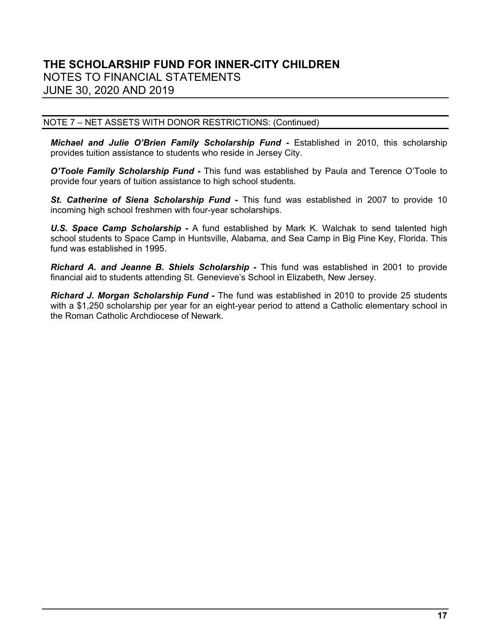#### NOTE 7 – NET ASSETS WITH DONOR RESTRICTIONS: (Continued)

*Michael and Julie O'Brien Family Scholarship Fund -* Established in 2010, this scholarship provides tuition assistance to students who reside in Jersey City.

*O'Toole Family Scholarship Fund -* This fund was established by Paula and Terence O'Toole to provide four years of tuition assistance to high school students.

*St. Catherine of Siena Scholarship Fund -* This fund was established in 2007 to provide 10 incoming high school freshmen with four-year scholarships.

*U.S. Space Camp Scholarship -* A fund established by Mark K. Walchak to send talented high school students to Space Camp in Huntsville, Alabama, and Sea Camp in Big Pine Key, Florida. This fund was established in 1995.

*Richard A. and Jeanne B. Shiels Scholarship -* This fund was established in 2001 to provide financial aid to students attending St. Genevieve's School in Elizabeth, New Jersey.

*Richard J. Morgan Scholarship Fund -* The fund was established in 2010 to provide 25 students with a \$1,250 scholarship per year for an eight-year period to attend a Catholic elementary school in the Roman Catholic Archdiocese of Newark.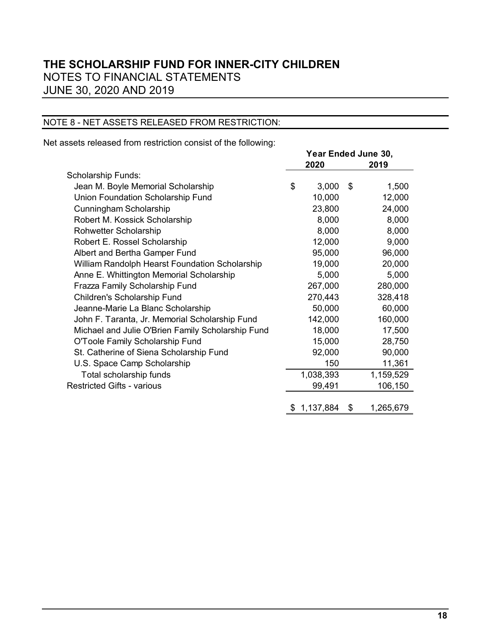### NOTE 8 - NET ASSETS RELEASED FROM RESTRICTION:

Net assets released from restriction consist of the following:

|                                                   | Year Ended June 30, |             |    |           |  |
|---------------------------------------------------|---------------------|-------------|----|-----------|--|
|                                                   | 2020<br>2019        |             |    |           |  |
| <b>Scholarship Funds:</b>                         |                     |             |    |           |  |
| Jean M. Boyle Memorial Scholarship                | \$                  | 3,000       | \$ | 1,500     |  |
| Union Foundation Scholarship Fund                 |                     | 10,000      |    | 12,000    |  |
| Cunningham Scholarship                            |                     | 23,800      |    | 24,000    |  |
| Robert M. Kossick Scholarship                     |                     | 8,000       |    | 8,000     |  |
| Rohwetter Scholarship                             |                     | 8,000       |    | 8,000     |  |
| Robert E. Rossel Scholarship                      |                     | 12,000      |    | 9,000     |  |
| Albert and Bertha Gamper Fund                     |                     | 95,000      |    | 96,000    |  |
| William Randolph Hearst Foundation Scholarship    |                     | 19,000      |    | 20,000    |  |
| Anne E. Whittington Memorial Scholarship          |                     | 5,000       |    | 5,000     |  |
| Frazza Family Scholarship Fund                    |                     | 267,000     |    | 280,000   |  |
| Children's Scholarship Fund                       |                     | 270,443     |    | 328,418   |  |
| Jeanne-Marie La Blanc Scholarship                 |                     | 50,000      |    | 60,000    |  |
| John F. Taranta, Jr. Memorial Scholarship Fund    |                     | 142,000     |    | 160,000   |  |
| Michael and Julie O'Brien Family Scholarship Fund |                     | 18,000      |    | 17,500    |  |
| O'Toole Family Scholarship Fund                   |                     | 15,000      |    | 28,750    |  |
| St. Catherine of Siena Scholarship Fund           |                     | 92,000      |    | 90,000    |  |
| U.S. Space Camp Scholarship                       |                     | 150         |    | 11,361    |  |
| Total scholarship funds                           |                     | 1,038,393   |    | 1,159,529 |  |
| <b>Restricted Gifts - various</b>                 |                     | 99,491      |    | 106,150   |  |
|                                                   |                     |             |    |           |  |
|                                                   |                     | \$1,137,884 | \$ | 1,265,679 |  |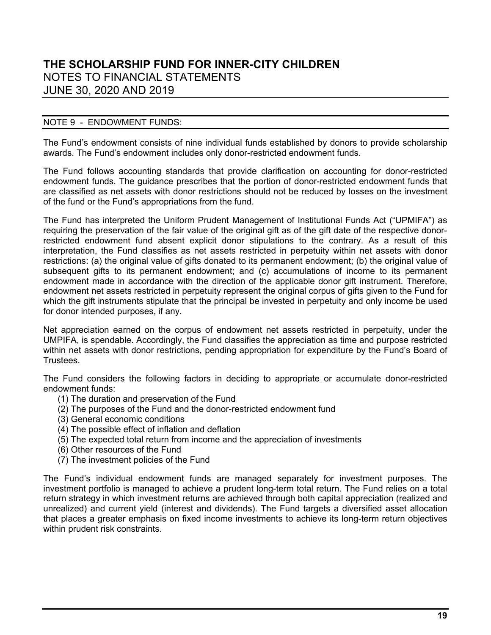#### NOTE 9 - ENDOWMENT FUNDS:

The Fund's endowment consists of nine individual funds established by donors to provide scholarship awards. The Fund's endowment includes only donor-restricted endowment funds.

The Fund follows accounting standards that provide clarification on accounting for donor-restricted endowment funds. The guidance prescribes that the portion of donor-restricted endowment funds that are classified as net assets with donor restrictions should not be reduced by losses on the investment of the fund or the Fund's appropriations from the fund.

The Fund has interpreted the Uniform Prudent Management of Institutional Funds Act ("UPMIFA") as requiring the preservation of the fair value of the original gift as of the gift date of the respective donorrestricted endowment fund absent explicit donor stipulations to the contrary. As a result of this interpretation, the Fund classifies as net assets restricted in perpetuity within net assets with donor restrictions: (a) the original value of gifts donated to its permanent endowment; (b) the original value of subsequent gifts to its permanent endowment; and (c) accumulations of income to its permanent endowment made in accordance with the direction of the applicable donor gift instrument. Therefore, endowment net assets restricted in perpetuity represent the original corpus of gifts given to the Fund for which the gift instruments stipulate that the principal be invested in perpetuity and only income be used for donor intended purposes, if any.

Net appreciation earned on the corpus of endowment net assets restricted in perpetuity, under the UMPIFA, is spendable. Accordingly, the Fund classifies the appreciation as time and purpose restricted within net assets with donor restrictions, pending appropriation for expenditure by the Fund's Board of Trustees.

The Fund considers the following factors in deciding to appropriate or accumulate donor-restricted endowment funds:

- (1) The duration and preservation of the Fund
- (2) The purposes of the Fund and the donor-restricted endowment fund
- (3) General economic conditions
- (4) The possible effect of inflation and deflation
- (5) The expected total return from income and the appreciation of investments
- (6) Other resources of the Fund
- (7) The investment policies of the Fund

The Fund's individual endowment funds are managed separately for investment purposes. The investment portfolio is managed to achieve a prudent long-term total return. The Fund relies on a total return strategy in which investment returns are achieved through both capital appreciation (realized and unrealized) and current yield (interest and dividends). The Fund targets a diversified asset allocation that places a greater emphasis on fixed income investments to achieve its long-term return objectives within prudent risk constraints.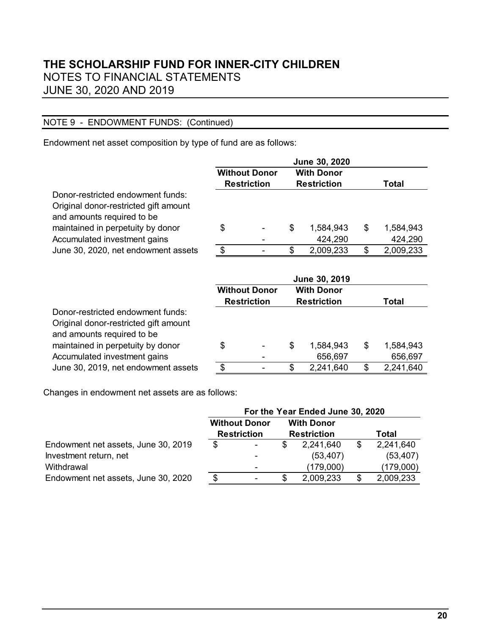### NOTE 9 - ENDOWMENT FUNDS: (Continued)

Endowment net asset composition by type of fund are as follows:

|                                                                                                          |                       |                                            | June 30, 2020                           |                 |
|----------------------------------------------------------------------------------------------------------|-----------------------|--------------------------------------------|-----------------------------------------|-----------------|
|                                                                                                          |                       | <b>Without Donor</b>                       | <b>With Donor</b>                       |                 |
|                                                                                                          |                       | <b>Restriction</b>                         | <b>Restriction</b>                      | Total           |
| Donor-restricted endowment funds:<br>Original donor-restricted gift amount<br>and amounts required to be |                       |                                            |                                         |                 |
| maintained in perpetuity by donor                                                                        | \$                    |                                            | \$<br>1,584,943                         | \$<br>1,584,943 |
| Accumulated investment gains                                                                             |                       |                                            | 424,290                                 | 424,290         |
| June 30, 2020, net endowment assets                                                                      | $\boldsymbol{\theta}$ |                                            | \$<br>2,009,233                         | \$<br>2,009,233 |
|                                                                                                          |                       |                                            | June 30, 2019                           |                 |
|                                                                                                          |                       | <b>Without Donor</b><br><b>Restriction</b> | <b>With Donor</b><br><b>Restriction</b> | Total           |
| Donor-restricted endowment funds:<br>Original donor-restricted gift amount<br>and amounts required to be |                       |                                            |                                         |                 |
| maintained in perpetuity by donor                                                                        |                       |                                            | 1,584,943                               | \$<br>1,584,943 |
|                                                                                                          | \$                    |                                            | \$                                      |                 |
| Accumulated investment gains                                                                             |                       |                                            | 656,697                                 | 656,697         |

Changes in endowment net assets are as follows:

|                                     | For the Year Ended June 30, 2020 |                      |   |                    |    |           |  |
|-------------------------------------|----------------------------------|----------------------|---|--------------------|----|-----------|--|
|                                     |                                  | <b>Without Donor</b> |   | <b>With Donor</b>  |    |           |  |
|                                     |                                  | <b>Restriction</b>   |   | <b>Restriction</b> |    | Total     |  |
| Endowment net assets, June 30, 2019 | S                                |                      |   | 2,241,640          | \$ | 2,241,640 |  |
| Investment return, net              |                                  |                      |   | (53, 407)          |    | (53, 407) |  |
| Withdrawal                          |                                  |                      |   | (179,000)          |    | (179,000) |  |
| Endowment net assets, June 30, 2020 | \$.                              |                      | S | 2,009,233          |    | 2,009,233 |  |
|                                     |                                  |                      |   |                    |    |           |  |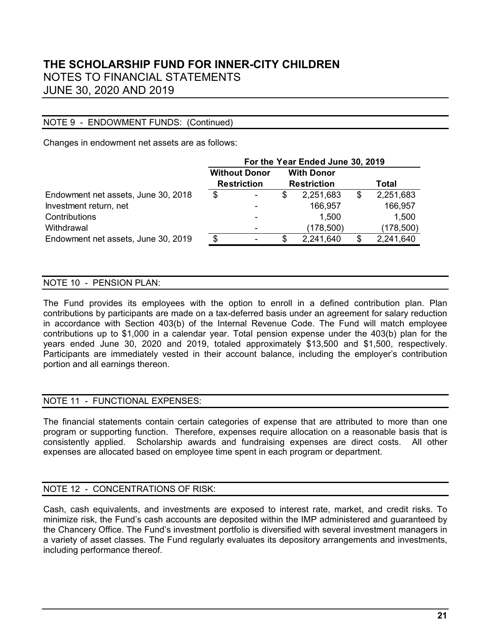#### NOTE 9 - ENDOWMENT FUNDS: (Continued)

Changes in endowment net assets are as follows:

|                                     | For the Year Ended June 30, 2019 |                      |                    |                   |       |            |  |
|-------------------------------------|----------------------------------|----------------------|--------------------|-------------------|-------|------------|--|
|                                     |                                  | <b>Without Donor</b> |                    | <b>With Donor</b> |       |            |  |
|                                     | <b>Restriction</b>               |                      | <b>Restriction</b> |                   | Total |            |  |
| Endowment net assets, June 30, 2018 | \$                               |                      | \$                 | 2,251,683         | \$    | 2,251,683  |  |
| Investment return, net              |                                  |                      |                    | 166,957           |       | 166,957    |  |
| Contributions                       |                                  |                      |                    | 1,500             |       | 1,500      |  |
| Withdrawal                          |                                  |                      |                    | (178, 500)        |       | (178, 500) |  |
| Endowment net assets, June 30, 2019 | \$.                              |                      | SS                 | 2,241,640         | S     | 2,241,640  |  |

#### NOTE 10 - PENSION PLAN:

The Fund provides its employees with the option to enroll in a defined contribution plan. Plan contributions by participants are made on a tax-deferred basis under an agreement for salary reduction in accordance with Section 403(b) of the Internal Revenue Code. The Fund will match employee contributions up to \$1,000 in a calendar year. Total pension expense under the 403(b) plan for the years ended June 30, 2020 and 2019, totaled approximately \$13,500 and \$1,500, respectively. Participants are immediately vested in their account balance, including the employer's contribution portion and all earnings thereon.

#### NOTE 11 - FUNCTIONAL EXPENSES:

The financial statements contain certain categories of expense that are attributed to more than one program or supporting function. Therefore, expenses require allocation on a reasonable basis that is consistently applied. Scholarship awards and fundraising expenses are direct costs. All other expenses are allocated based on employee time spent in each program or department.

#### NOTE 12 - CONCENTRATIONS OF RISK:

Cash, cash equivalents, and investments are exposed to interest rate, market, and credit risks. To minimize risk, the Fund's cash accounts are deposited within the IMP administered and guaranteed by the Chancery Office. The Fund's investment portfolio is diversified with several investment managers in a variety of asset classes. The Fund regularly evaluates its depository arrangements and investments, including performance thereof.